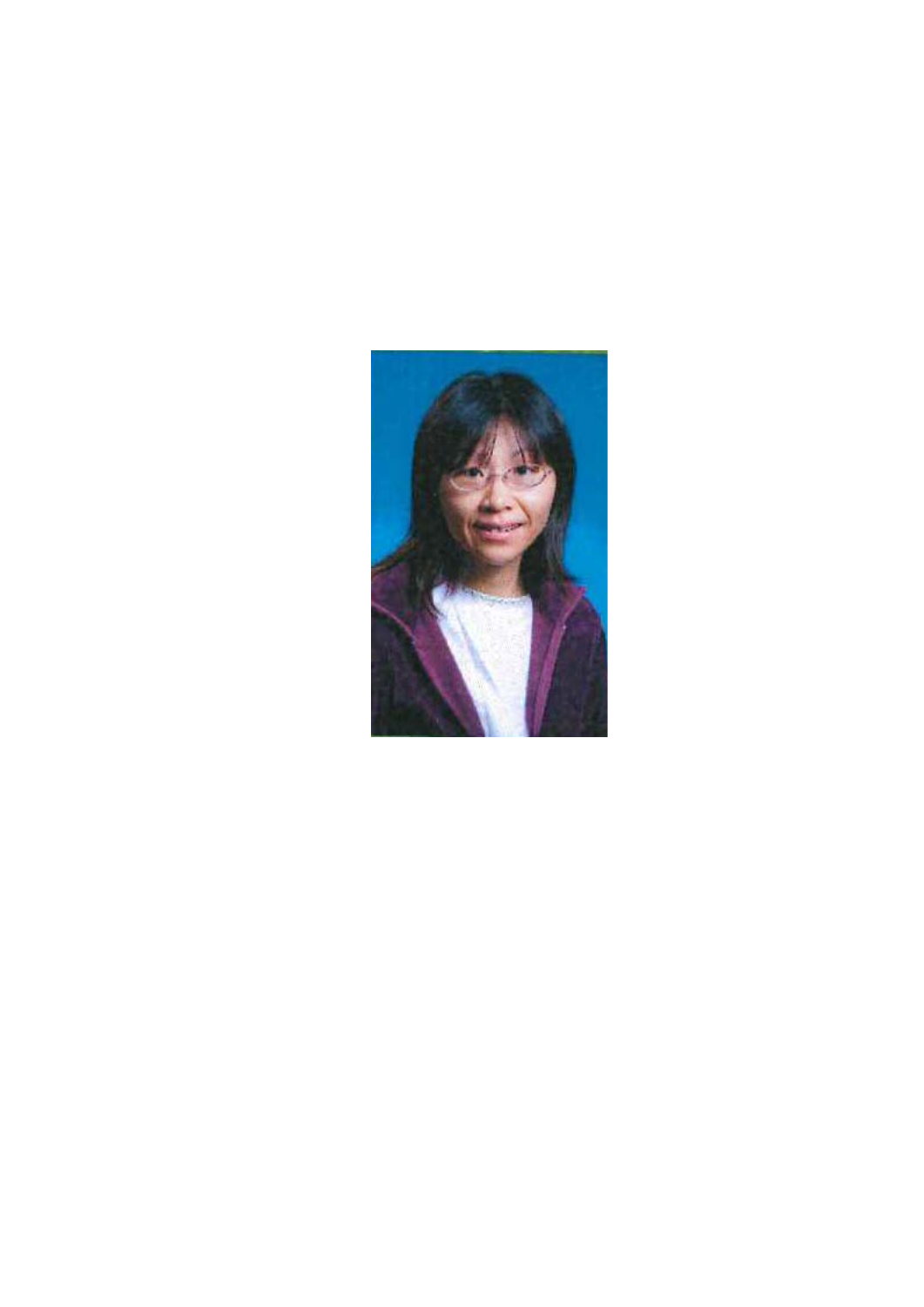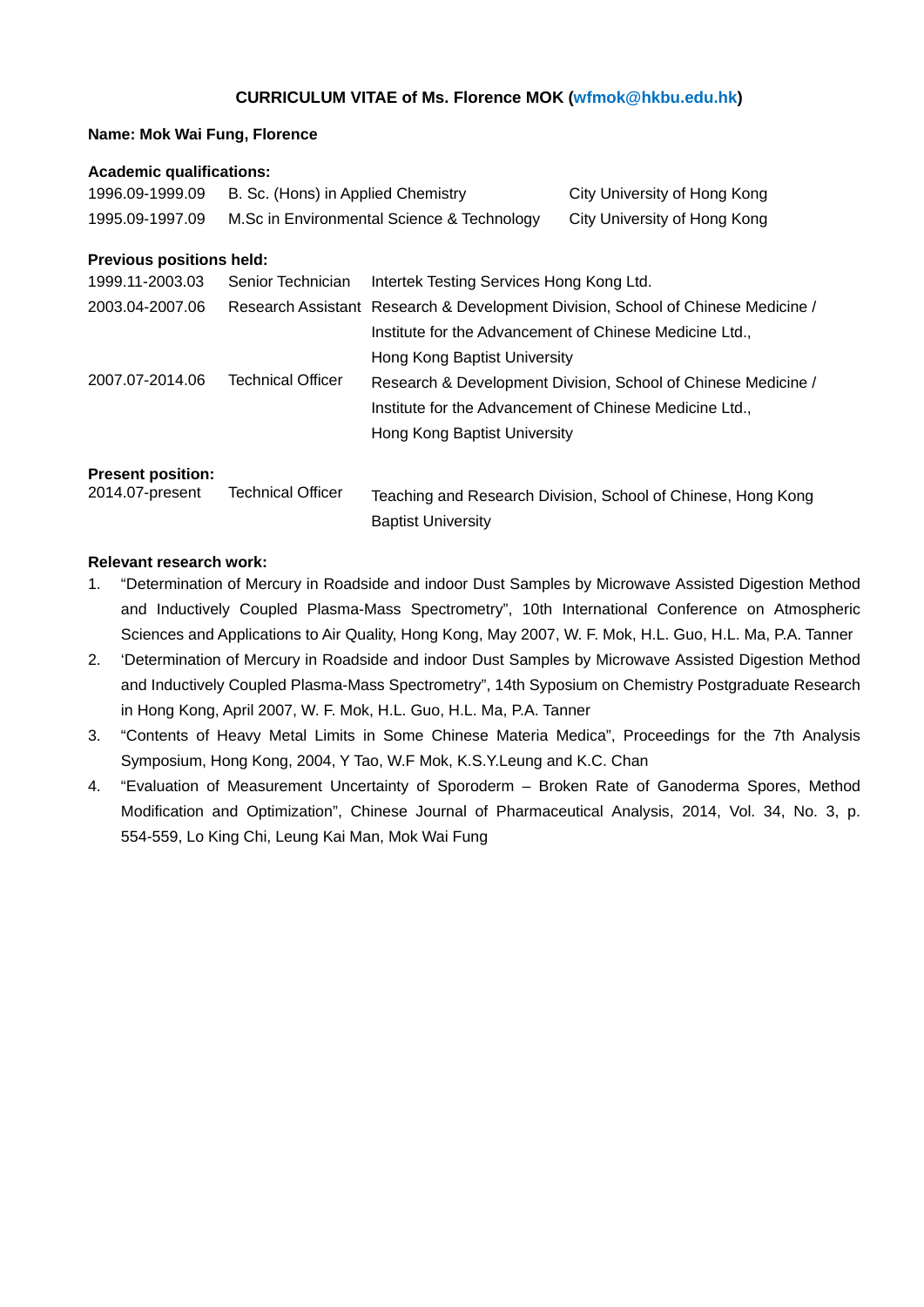# **CURRICULUM VITAE of Ms. Florence MOK (wfmok@hkbu.edu.hk)**

## **Name: Mok Wai Fung, Florence**

## **Academic qualifications:**

| 1996.09-1999.09 | B. Sc. (Hons) in Applied Chemistry         | City University of Hong Kong |
|-----------------|--------------------------------------------|------------------------------|
| 1995.09-1997.09 | M.Sc in Environmental Science & Technology | City University of Hong Kong |

## **Previous positions held:**

| 1999.11-2003.03 | Senior Technician | Intertek Testing Services Hong Kong Ltd.                                         |
|-----------------|-------------------|----------------------------------------------------------------------------------|
| 2003.04-2007.06 |                   | Research Assistant Research & Development Division, School of Chinese Medicine / |
|                 |                   | Institute for the Advancement of Chinese Medicine Ltd.,                          |
|                 |                   | Hong Kong Baptist University                                                     |
| 2007.07-2014.06 | Technical Officer | Research & Development Division, School of Chinese Medicine /                    |
|                 |                   | Institute for the Advancement of Chinese Medicine Ltd.,                          |
|                 |                   | Hong Kong Baptist University                                                     |
|                 |                   |                                                                                  |

#### **Present position:**

| 2014.07-present | <b>Technical Officer</b> | Teaching and Research Division, School of Chinese, Hong Kong |
|-----------------|--------------------------|--------------------------------------------------------------|
|                 |                          | <b>Baptist University</b>                                    |

## **Relevant research work:**

- 1. "Determination of Mercury in Roadside and indoor Dust Samples by Microwave Assisted Digestion Method and Inductively Coupled Plasma-Mass Spectrometry", 10th International Conference on Atmospheric Sciences and Applications to Air Quality, Hong Kong, May 2007, W. F. Mok, H.L. Guo, H.L. Ma, P.A. Tanner
- 2. 'Determination of Mercury in Roadside and indoor Dust Samples by Microwave Assisted Digestion Method and Inductively Coupled Plasma-Mass Spectrometry", 14th Syposium on Chemistry Postgraduate Research in Hong Kong, April 2007, W. F. Mok, H.L. Guo, H.L. Ma, P.A. Tanner
- 3. "Contents of Heavy Metal Limits in Some Chinese Materia Medica", Proceedings for the 7th Analysis Symposium, Hong Kong, 2004, Y Tao, W.F Mok, K.S.Y.Leung and K.C. Chan
- 4. "Evaluation of Measurement Uncertainty of Sporoderm Broken Rate of Ganoderma Spores, Method Modification and Optimization", Chinese Journal of Pharmaceutical Analysis, 2014, Vol. 34, No. 3, p. 554-559, Lo King Chi, Leung Kai Man, Mok Wai Fung